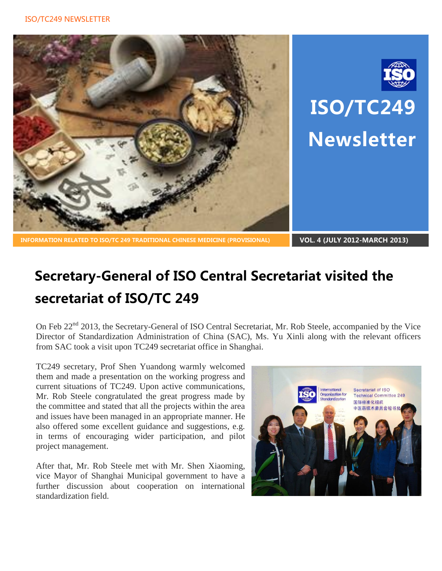



# **ISO/TC249 Newsletter**

**INFORMATION RELATED TO ISO/TC 249 TRADITIONAL CHINESE MEDICINE (PROVISIONAL) VOL. 4 (JULY 2012-MARCH 2013)**

## **Secretary-General of ISO Central Secretariat visited the secretariat of ISO/TC 249**

On Feb 22<sup>nd</sup> 2013, the Secretary-General of ISO Central Secretariat, Mr. Rob Steele, accompanied by the Vice Director of Standardization Administration of China (SAC), Ms. Yu Xinli along with the relevant officers from SAC took a visit upon TC249 secretariat office in Shanghai.

TC249 secretary, Prof Shen Yuandong warmly welcomed them and made a presentation on the working progress and current situations of TC249. Upon active communications, Mr. Rob Steele congratulated the great progress made by the committee and stated that all the projects within the area and issues have been managed in an appropriate manner. He also offered some excellent guidance and suggestions, e.g. in terms of encouraging wider participation, and pilot project management.

After that, Mr. Rob Steele met with Mr. Shen Xiaoming, vice Mayor of Shanghai Municipal government to have a further discussion about cooperation on international standardization field.

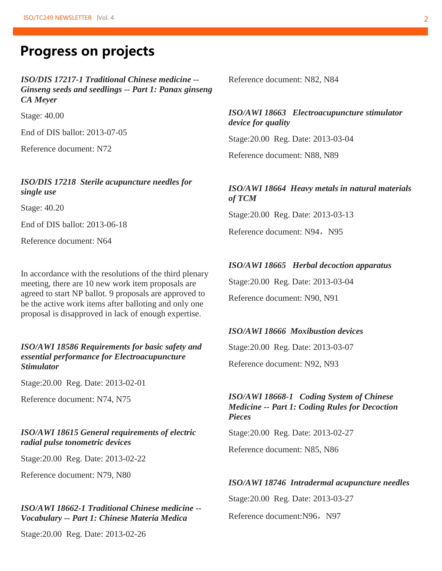## **Progress on projects**

*ISO/DIS 17217-1 Traditional Chinese medicine -- Ginseng seeds and seedlings -- Part 1: Panax ginseng CA Meyer* 

Stage: 40.00

End of DIS ballot: 2013-07-05

Reference document: N72

#### *ISO/DIS 17218 Sterile acupuncture needles for single use*

Stage: 40.20

End of DIS ballot: 2013-06-18

Reference document: N64

In accordance with the resolutions of the third plenary meeting, there are 10 new work item proposals are agreed to start NP ballot. 9 proposals are approved to be the active work items after balloting and only one proposal is disapproved in lack of enough expertise.

#### *ISO/AWI 18586 Requirements for basic safety and essential performance for Electroacupuncture Stimulator*

Stage:20.00 Reg. Date: 2013-02-01

Reference document: N74, N75

#### *ISO/AWI 18615 General requirements of electric radial pulse tonometric devices*

Stage:20.00 Reg. Date: 2013-02-22

Reference document: N79, N80

#### *ISO/AWI 18662-1 Traditional Chinese medicine -- Vocabulary -- Part 1: Chinese Materia Medica*

Stage:20.00 Reg. Date: 2013-02-26

Reference document: N82, N84

#### *ISO/AWI 18663 Electroacupuncture stimulator device for quality*

Stage:20.00 Reg. Date: 2013-03-04

Reference document: N88, N89

#### *ISO/AWI 18664 Heavy metals in natural materials of TCM*

Stage:20.00 Reg. Date: 2013-03-13

Reference document: N94, N95

#### *ISO/AWI 18665 Herbal decoction apparatus*

Stage:20.00 Reg. Date: 2013-03-04 Reference document: N90, N91

#### *ISO/AWI 18666 Moxibustion devices*

Stage:20.00 Reg. Date: 2013-03-07 Reference document: N92, N93

#### *ISO/AWI 18668-1 Coding System of Chinese Medicine -- Part 1: Coding Rules for Decoction Pieces*

Stage:20.00 Reg. Date: 2013-02-27

Reference document: N85, N86

#### *ISO/AWI 18746 Intradermal acupuncture needles*

Stage:20.00 Reg. Date: 2013-03-27

Reference document:N96, N97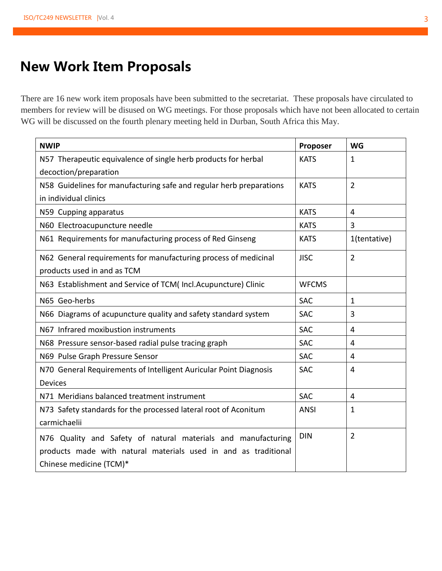## **New Work Item Proposals**

There are 16 new work item proposals have been submitted to the secretariat. These proposals have circulated to members for review will be disused on WG meetings. For those proposals which have not been allocated to certain WG will be discussed on the fourth plenary meeting held in Durban, South Africa this May.

| <b>NWIP</b>                                                         | Proposer     | <b>WG</b>      |
|---------------------------------------------------------------------|--------------|----------------|
| N57 Therapeutic equivalence of single herb products for herbal      | <b>KATS</b>  | $\mathbf{1}$   |
| decoction/preparation                                               |              |                |
| N58 Guidelines for manufacturing safe and regular herb preparations | <b>KATS</b>  | $\overline{2}$ |
| in individual clinics                                               |              |                |
| N59 Cupping apparatus                                               | <b>KATS</b>  | $\overline{4}$ |
| N60 Electroacupuncture needle                                       | <b>KATS</b>  | 3              |
| N61 Requirements for manufacturing process of Red Ginseng           | <b>KATS</b>  | 1(tentative)   |
| N62 General requirements for manufacturing process of medicinal     | <b>JISC</b>  | $\overline{2}$ |
| products used in and as TCM                                         |              |                |
| N63 Establishment and Service of TCM(Incl.Acupuncture) Clinic       | <b>WFCMS</b> |                |
| N65 Geo-herbs                                                       | <b>SAC</b>   | $\mathbf{1}$   |
| N66 Diagrams of acupuncture quality and safety standard system      | <b>SAC</b>   | 3              |
| N67 Infrared moxibustion instruments                                | <b>SAC</b>   | 4              |
| N68 Pressure sensor-based radial pulse tracing graph                | <b>SAC</b>   | 4              |
| N69 Pulse Graph Pressure Sensor                                     | <b>SAC</b>   | 4              |
| N70 General Requirements of Intelligent Auricular Point Diagnosis   | <b>SAC</b>   | 4              |
| <b>Devices</b>                                                      |              |                |
| N71 Meridians balanced treatment instrument                         | <b>SAC</b>   | $\overline{4}$ |
| N73 Safety standards for the processed lateral root of Aconitum     | <b>ANSI</b>  | 1              |
| carmichaelii                                                        |              |                |
| N76 Quality and Safety of natural materials and manufacturing       | <b>DIN</b>   | $\overline{2}$ |
| products made with natural materials used in and as traditional     |              |                |
| Chinese medicine (TCM)*                                             |              |                |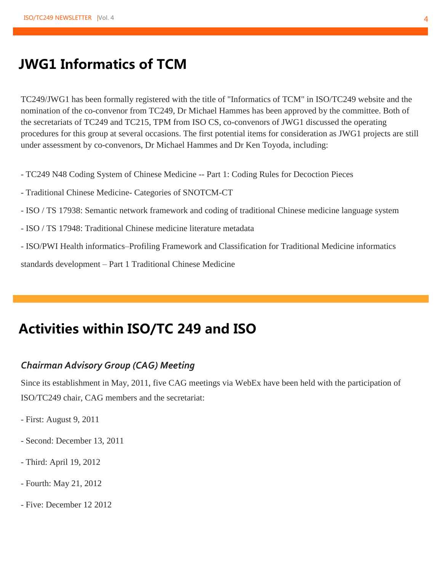## **JWG1 Informatics of TCM**

TC249/JWG1 has been formally registered with the title of "Informatics of TCM" in ISO/TC249 website and the nomination of the co-convenor from TC249, Dr Michael Hammes has been approved by the committee. Both of the secretariats of TC249 and TC215, TPM from ISO CS, co-convenors of JWG1 discussed the operating procedures for this group at several occasions. The first potential items for consideration as JWG1 projects are still under assessment by co-convenors, Dr Michael Hammes and Dr Ken Toyoda, including:

- TC249 N48 Coding System of Chinese Medicine -- Part 1: Coding Rules for Decoction Pieces
- Traditional Chinese Medicine- Categories of SNOTCM-CT
- ISO / TS 17938: Semantic network framework and coding of traditional Chinese medicine language system
- ISO / TS 17948: Traditional Chinese medicine literature metadata
- ISO/PWI Health informatics–Profiling Framework and Classification for Traditional Medicine informatics

standards development – Part 1 Traditional Chinese Medicine

## **Activities within ISO/TC 249 and ISO**

#### *Chairman Advisory Group (CAG) Meeting*

Since its establishment in May, 2011, five CAG meetings via WebEx have been held with the participation of ISO/TC249 chair, CAG members and the secretariat:

- First: August 9, 2011
- Second: December 13, 2011
- Third: April 19, 2012
- Fourth: May 21, 2012
- Five: December 12 2012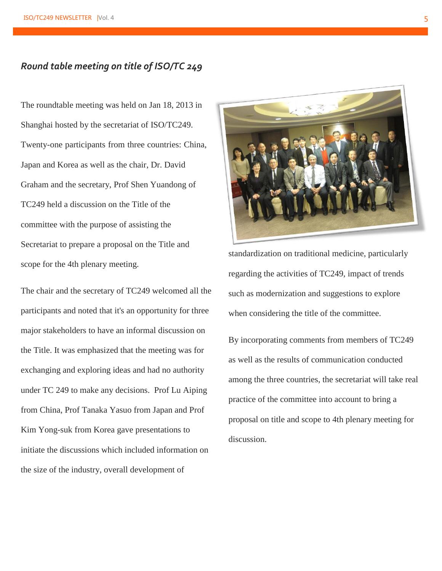#### *Round table meeting on title of ISO/TC 249*

The roundtable meeting was held on Jan 18, 2013 in Shanghai hosted by the secretariat of ISO/TC249. Twenty-one participants from three countries: China, Japan and Korea as well as the chair, Dr. David Graham and the secretary, Prof Shen Yuandong of TC249 held a discussion on the Title of the committee with the purpose of assisting the Secretariat to prepare a proposal on the Title and scope for the 4th plenary meeting.

The chair and the secretary of TC249 welcomed all the participants and noted that it's an opportunity for three major stakeholders to have an informal discussion on the Title. It was emphasized that the meeting was for exchanging and exploring ideas and had no authority under TC 249 to make any decisions. Prof Lu Aiping from China, Prof Tanaka Yasuo from Japan and Prof Kim Yong-suk from Korea gave presentations to initiate the discussions which included information on the size of the industry, overall development of



standardization on traditional medicine, particularly regarding the activities of TC249, impact of trends such as modernization and suggestions to explore when considering the title of the committee.

By incorporating comments from members of TC249 as well as the results of communication conducted among the three countries, the secretariat will take real practice of the committee into account to bring a proposal on title and scope to 4th plenary meeting for discussion.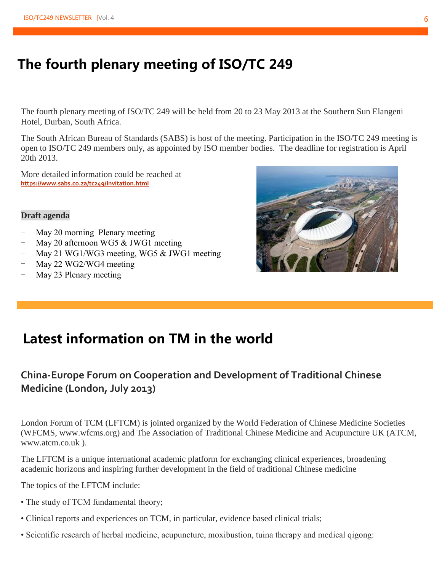## **The fourth plenary meeting of ISO/TC 249**

The fourth plenary meeting of ISO/TC 249 will be held from 20 to 23 May 2013 at the Southern Sun Elangeni Hotel, Durban, South Africa.

The South African Bureau of Standards (SABS) is host of the meeting. Participation in the ISO/TC 249 meeting is open to ISO/TC 249 members only, as appointed by ISO member bodies. The deadline for registration is April 20th 2013.

More detailed information could be reached at **https://www.sabs.co.za/tc249/Invitation.html**

#### **Draft agenda**

- May 20 morning Plenary meeting
- May 20 afternoon WG5 & JWG1 meeting
- May 21 WG1/WG3 meeting, WG5 & JWG1 meeting
- May 22 WG2/WG4 meeting
- May 23 Plenary meeting



## **Latest information on TM in the world**

### **China-Europe Forum on Cooperation and Development of Traditional Chinese Medicine (London, July 2013)**

London Forum of TCM (LFTCM) is jointed organized by the World Federation of Chinese Medicine Societies (WFCMS, www.wfcms.org) and The Association of Traditional Chinese Medicine and Acupuncture UK (ATCM, www.atcm.co.uk ).

The LFTCM is a unique international academic platform for exchanging clinical experiences, broadening academic horizons and inspiring further development in the field of traditional Chinese medicine

The topics of the LFTCM include:

- The study of TCM fundamental theory;
- Clinical reports and experiences on TCM, in particular, evidence based clinical trials;
- Scientific research of herbal medicine, acupuncture, moxibustion, tuina therapy and medical qigong: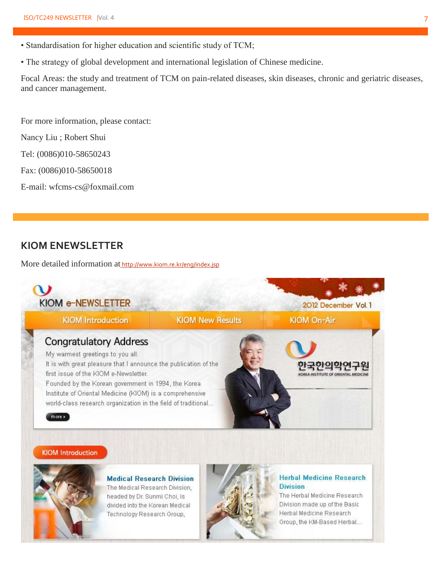- Standardisation for higher education and scientific study of TCM;
- The strategy of global development and international legislation of Chinese medicine.

Focal Areas: the study and treatment of TCM on pain-related diseases, skin diseases, chronic and geriatric diseases, and cancer management.

For more information, please contact:

Nancy Liu ; Robert Shui

Tel: (0086)010-58650243

Fax: (0086)010-58650018

E-mail: wfcms-cs@foxmail.com

#### **KIOM ENEWSLETTER**

More detailed information at http://www.kiom.re.kr/eng/index.jsp



#### **KIOM Introduction**



**Medical Research Division** The Medical Research Division, headed by Dr. Sunmi Choi, is divided into the Korean Medical Technology Research Group,



#### **Herbal Medicine Research Division**

The Herbal Medicine Research Division made up of the Basic Herbal Medicine Research Group, the KM-Based Herbal...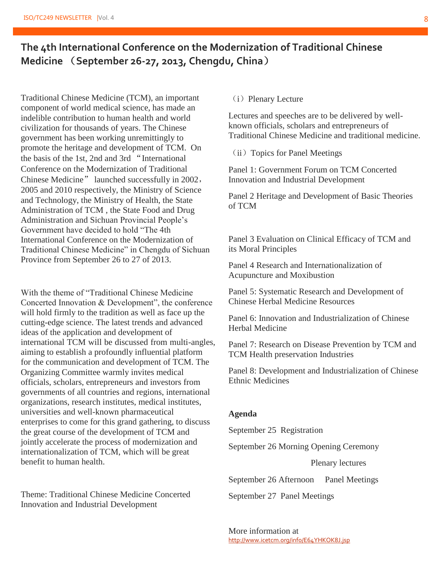### **The 4th International Conference on the Modernization of Traditional Chinese Medicine** (**September 26-27, 2013, Chengdu, China**)

Traditional Chinese Medicine (TCM), an important component of world medical science, has made an indelible contribution to human health and world civilization for thousands of years. The Chinese government has been working unremittingly to promote the heritage and development of TCM. On the basis of the 1st, 2nd and 3rd "International Conference on the Modernization of Traditional Chinese Medicine" launched successfully in 2002, 2005 and 2010 respectively, the Ministry of Science and Technology, the Ministry of Health, the State Administration of TCM , the State Food and Drug Administration and Sichuan Provincial People's Government have decided to hold "The 4th International Conference on the Modernization of Traditional Chinese Medicine" in Chengdu of Sichuan Province from September 26 to 27 of 2013.

With the theme of "Traditional Chinese Medicine Concerted Innovation & Development", the conference will hold firmly to the tradition as well as face up the cutting-edge science. The latest trends and advanced ideas of the application and development of international TCM will be discussed from multi-angles, aiming to establish a profoundly influential platform for the communication and development of TCM. The Organizing Committee warmly invites medical officials, scholars, entrepreneurs and investors from governments of all countries and regions, international organizations, research institutes, medical institutes, universities and well-known pharmaceutical enterprises to come for this grand gathering, to discuss the great course of the development of TCM and jointly accelerate the process of modernization and internationalization of TCM, which will be great benefit to human health.

Theme: Traditional Chinese Medicine Concerted Innovation and Industrial Development

#### (i) Plenary Lecture

Lectures and speeches are to be delivered by wellknown officials, scholars and entrepreneurs of Traditional Chinese Medicine and traditional medicine.

(ii) Topics for Panel Meetings

Panel 1: Government Forum on TCM Concerted Innovation and Industrial Development

Panel 2 Heritage and Development of Basic Theories of TCM

Panel 3 Evaluation on Clinical Efficacy of TCM and its Moral Principles

Panel 4 Research and Internationalization of Acupuncture and Moxibustion

Panel 5: Systematic Research and Development of Chinese Herbal Medicine Resources

Panel 6: Innovation and Industrialization of Chinese Herbal Medicine

Panel 7: Research on Disease Prevention by TCM and TCM Health preservation Industries

Panel 8: Development and Industrialization of Chinese Ethnic Medicines

#### **Agenda**

September 25 Registration

September 26 Morning Opening Ceremony

Plenary lectures

September 26 Afternoon Panel Meetings

September 27 Panel Meetings

More information at http://www.icetcm.org/info/E64YHKOK8J.jsp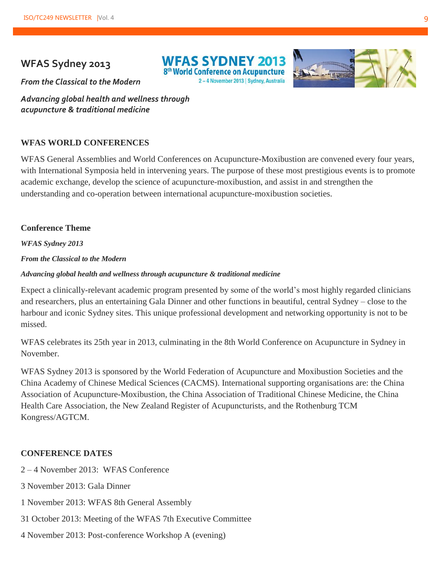#### **WFAS Sydney 2013**

**WEAS SYDNEY 2013** 8<sup>th</sup> World Conference on Acupuncture 2-4 November 2013 | Sydney, Australia



*From the Classical to the Modern*

*Advancing global health and wellness through acupuncture & traditional medicine*

#### **WFAS WORLD CONFERENCES**

WFAS General Assemblies and World Conferences on Acupuncture-Moxibustion are convened every four years, with International Symposia held in intervening years. The purpose of these most prestigious events is to promote academic exchange, develop the science of acupuncture-moxibustion, and assist in and strengthen the understanding and co-operation between international acupuncture-moxibustion societies.

#### **Conference Theme**

*WFAS Sydney 2013*

*From the Classical to the Modern*

#### *Advancing global health and wellness through acupuncture & traditional medicine*

Expect a clinically-relevant academic program presented by some of the world's most highly regarded clinicians and researchers, plus an entertaining Gala Dinner and other functions in beautiful, central Sydney – close to the harbour and iconic Sydney sites. This unique professional development and networking opportunity is not to be missed.

WFAS celebrates its 25th year in 2013, culminating in the 8th World Conference on Acupuncture in Sydney in November.

WFAS Sydney 2013 is sponsored by the World Federation of Acupuncture and Moxibustion Societies and the China Academy of Chinese Medical Sciences (CACMS). International supporting organisations are: the China Association of Acupuncture-Moxibustion, the China Association of Traditional Chinese Medicine, the China Health Care Association, the New Zealand Register of Acupuncturists, and the Rothenburg TCM Kongress/AGTCM.

#### **CONFERENCE DATES**

- 2 4 November 2013: WFAS Conference
- 3 November 2013: Gala Dinner
- 1 November 2013: WFAS 8th General Assembly
- 31 October 2013: Meeting of the WFAS 7th Executive Committee
- 4 November 2013: Post-conference Workshop A (evening)